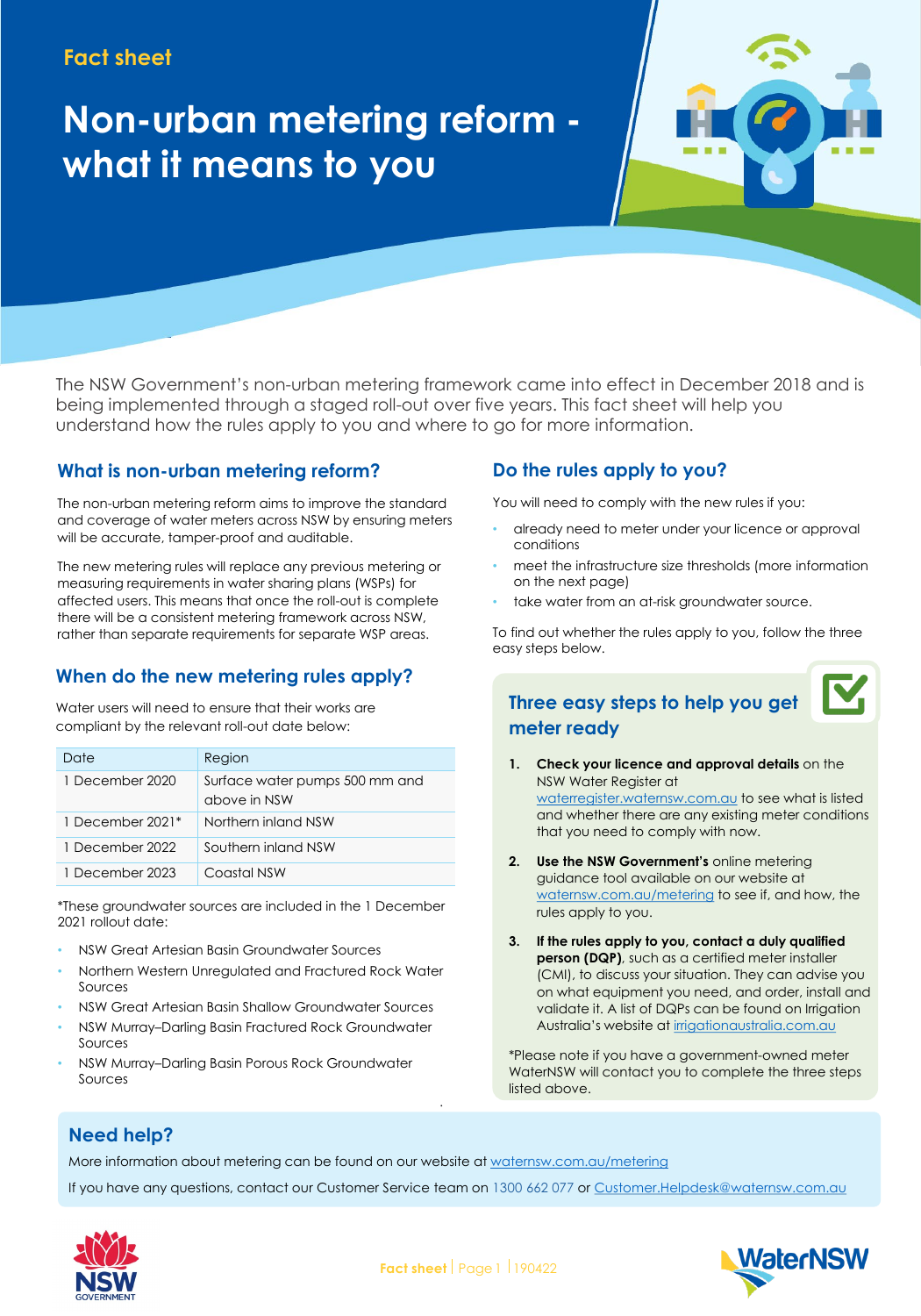### **Fact sheet**

## **Non-urban metering reform what it means to you**

The NSW Government's non-urban metering framework came into effect in December 2018 and is being implemented through a staged roll-out over five years. This fact sheet will help you understand how the rules apply to you and where to go for more information.

#### **What is non-urban metering reform?**

The non-urban metering reform aims to improve the standard and coverage of water meters across NSW by ensuring meters will be accurate, tamper-proof and auditable.

The new metering rules will replace any previous metering or measuring requirements in water sharing plans (WSPs) for affected users. This means that once the roll-out is complete there will be a consistent metering framework across NSW, rather than separate requirements for separate WSP areas.

#### **When do the new metering rules apply?**

Water users will need to ensure that their works are compliant by the relevant roll-out date below:

| Date             | Region                         |
|------------------|--------------------------------|
| 1 December 2020  | Surface water pumps 500 mm and |
|                  | above in NSW                   |
| 1 December 2021* | Northern inland NSW            |
| 1 December 2022  | Southern inland NSW            |
| 1 December 2023  | Coastal NSW                    |

\*These groundwater sources are included in the 1 December 2021 rollout date:

- NSW Great Artesian Basin Groundwater Sources
- Northern Western Unregulated and Fractured Rock Water Sources
- NSW Great Artesian Basin Shallow Groundwater Sources
- NSW Murray–Darling Basin Fractured Rock Groundwater Sources
- NSW Murray–Darling Basin Porous Rock Groundwater Sources

#### **Do the rules apply to you?**

You will need to comply with the new rules if you:

- already need to meter under your licence or approval conditions
- meet the infrastructure size thresholds (more information on the next page)
- take water from an at-risk groundwater source.

To find out whether the rules apply to you, follow the three easy steps below.

#### **Three easy steps to help you get meter ready**

- **1. Check your licence and approval details** on the NSW Water Register at waterregister.waternsw.com.au to see what is listed and whether there are any existing meter conditions that you need to comply with now.
- **2. Use the NSW Government's** online metering guidance tool available on our website at waternsw.com.au/metering to see if, and how, the rules apply to you.
- **3. If the rules apply to you, contact a duly qualified person (DQP)**, such as a certified meter installer (CMI), to discuss your situation. They can advise you on what equipment you need, and order, install and validate it. A list of DQPs can be found on Irrigation Australia's website at irrigationaustralia.com.au

\*Please note if you have a government-owned meter WaterNSW will contact you to complete the three steps listed above.

#### **Need help?**

More information about metering can be found on our website at waternsw.com.au/metering

If you have any questions, contact our Customer Service team on 1300 662 077 or [Customer.Helpdesk@waternsw.com.au](mailto:Customer.Helpdesk@waternsw.com.au)

.